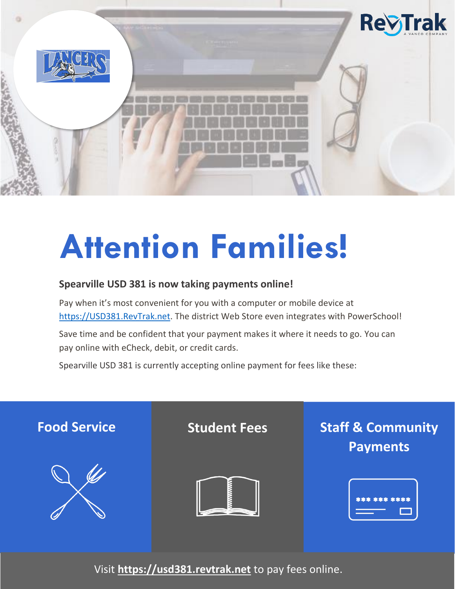

# **Attention Families!**

## **Spearville USD 381 is now taking payments online!**

Pay when it's most convenient for you with a computer or mobile device at [https://USD381.RevTrak.net.](https://usd381.revtrak.net/) The district Web Store even integrates with PowerSchool!

Save time and be confident that your payment makes it where it needs to go. You can pay online with eCheck, debit, or credit cards.

Spearville USD 381 is currently accepting online payment for fees like these:



Visit **[https://usd381.revtrak.net](https://usd381.revtrak.net/)** to pay fees online.